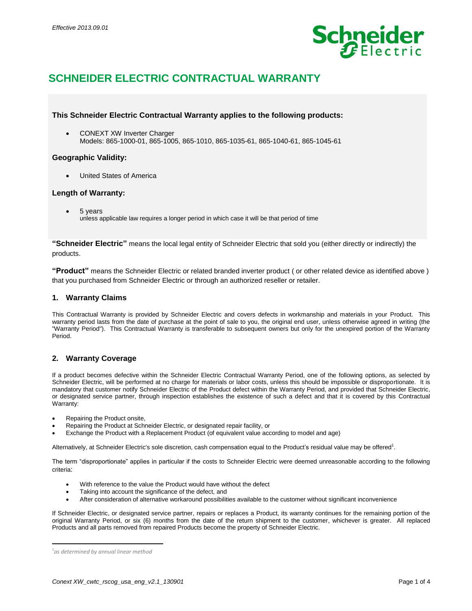

# **SCHNEIDER ELECTRIC CONTRACTUAL WARRANTY**

# **This Schneider Electric Contractual Warranty applies to the following products:**

• CONEXT XW Inverter Charger Models: 865-1000-01, 865-1005, 865-1010, 865-1035-61, 865-1040-61, 865-1045-61

### **Geographic Validity:**

United States of America

# **Length of Warranty:**

5 years

unless applicable law requires a longer period in which case it will be that period of time

**"Schneider Electric"** means the local legal entity of Schneider Electric that sold you (either directly or indirectly) the products.

**"Product"** means the Schneider Electric or related branded inverter product ( or other related device as identified above ) that you purchased from Schneider Electric or through an authorized reseller or retailer.

# **1. Warranty Claims**

This Contractual Warranty is provided by Schneider Electric and covers defects in workmanship and materials in your Product. This warranty period lasts from the date of purchase at the point of sale to you, the original end user, unless otherwise agreed in writing (the "Warranty Period"). This Contractual Warranty is transferable to subsequent owners but only for the unexpired portion of the Warranty Period.

# **2. Warranty Coverage**

If a product becomes defective within the Schneider Electric Contractual Warranty Period, one of the following options, as selected by Schneider Electric, will be performed at no charge for materials or labor costs, unless this should be impossible or disproportionate. It is mandatory that customer notify Schneider Electric of the Product defect within the Warranty Period, and provided that Schneider Electric, or designated service partner, through inspection establishes the existence of such a defect and that it is covered by this Contractual Warranty:

- Repairing the Product onsite,
- Repairing the Product at Schneider Electric, or designated repair facility, or
- Exchange the Product with a Replacement Product (of equivalent value according to model and age)

Alternatively, at Schneider Electric's sole discretion, cash compensation equal to the Product's residual value may be offered<sup>1</sup>.

The term "disproportionate" applies in particular if the costs to Schneider Electric were deemed unreasonable according to the following criteria:

- With reference to the value the Product would have without the defect
- Taking into account the significance of the defect, and
- After consideration of alternative workaround possibilities available to the customer without significant inconvenience

If Schneider Electric, or designated service partner, repairs or replaces a Product, its warranty continues for the remaining portion of the original Warranty Period, or six (6) months from the date of the return shipment to the customer, whichever is greater. All replaced Products and all parts removed from repaired Products become the property of Schneider Electric.

l

<sup>1</sup> *as determined by annual linear method*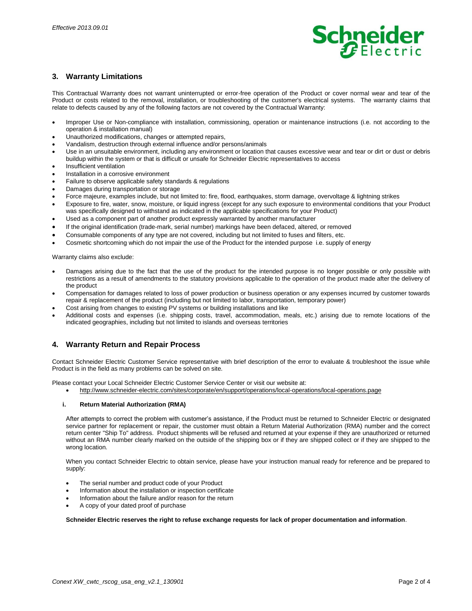

# **3. Warranty Limitations**

This Contractual Warranty does not warrant uninterrupted or error-free operation of the Product or cover normal wear and tear of the Product or costs related to the removal, installation, or troubleshooting of the customer's electrical systems. The warranty claims that relate to defects caused by any of the following factors are not covered by the Contractual Warranty:

- Improper Use or Non-compliance with installation, commissioning, operation or maintenance instructions (i.e. not according to the operation & installation manual)
- Unauthorized modifications, changes or attempted repairs,
- Vandalism, destruction through external influence and/or persons/animals
- Use in an unsuitable environment, including any environment or location that causes excessive wear and tear or dirt or dust or debris buildup within the system or that is difficult or unsafe for Schneider Electric representatives to access
- Insufficient ventilation
- Installation in a corrosive environment
- Failure to observe applicable safety standards & regulations
- Damages during transportation or storage
- Force majeure, examples include, but not limited to: fire, flood, earthquakes, storm damage, overvoltage & lightning strikes
- Exposure to fire, water, snow, moisture, or liquid ingress (except for any such exposure to environmental conditions that your Product was specifically designed to withstand as indicated in the applicable specifications for your Product)
- Used as a component part of another product expressly warranted by another manufacturer
- If the original identification (trade-mark, serial number) markings have been defaced, altered, or removed
- Consumable components of any type are not covered, including but not limited to fuses and filters, etc.
- Cosmetic shortcoming which do not impair the use of the Product for the intended purpose i.e. supply of energy

Warranty claims also exclude:

- Damages arising due to the fact that the use of the product for the intended purpose is no longer possible or only possible with restrictions as a result of amendments to the statutory provisions applicable to the operation of the product made after the delivery of the product
- Compensation for damages related to loss of power production or business operation or any expenses incurred by customer towards repair & replacement of the product (including but not limited to labor, transportation, temporary power)
- Cost arising from changes to existing PV systems or building installations and like
- Additional costs and expenses (i.e. shipping costs, travel, accommodation, meals, etc.) arising due to remote locations of the indicated geographies, including but not limited to islands and overseas territories

### **4. Warranty Return and Repair Process**

Contact Schneider Electric Customer Service representative with brief description of the error to evaluate & troubleshoot the issue while Product is in the field as many problems can be solved on site.

Please contact your Local Schneider Electric Customer Service Center or visit our website at:

http://www.schneider-electric.com/sites/corporate/en/support/operations/local-operations/local-operations.page

#### **i. Return Material Authorization (RMA)**

After attempts to correct the problem with customer's assistance, if the Product must be returned to Schneider Electric or designated service partner for replacement or repair, the customer must obtain a Return Material Authorization (RMA) number and the correct return center "Ship To" address. Product shipments will be refused and returned at your expense if they are unauthorized or returned without an RMA number clearly marked on the outside of the shipping box or if they are shipped collect or if they are shipped to the wrong location.

When you contact Schneider Electric to obtain service, please have your instruction manual ready for reference and be prepared to supply:

- The serial number and product code of your Product
- Information about the installation or inspection certificate
- Information about the failure and/or reason for the return
- A copy of your dated proof of purchase

#### **Schneider Electric reserves the right to refuse exchange requests for lack of proper documentation and information**.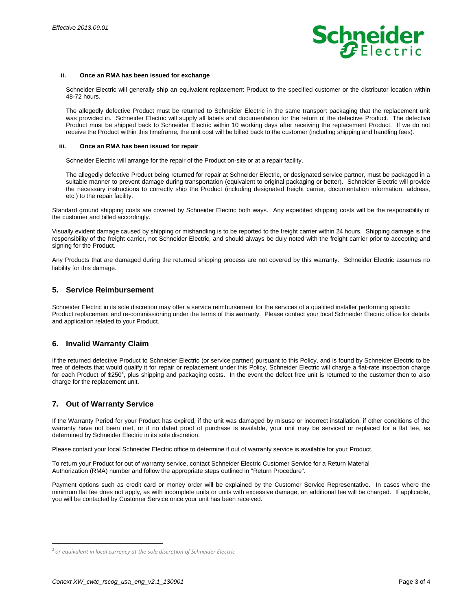

#### **ii. Once an RMA has been issued for exchange**

Schneider Electric will generally ship an equivalent replacement Product to the specified customer or the distributor location within 48-72 hours.

The allegedly defective Product must be returned to Schneider Electric in the same transport packaging that the replacement unit was provided in. Schneider Electric will supply all labels and documentation for the return of the defective Product. The defective Product must be shipped back to Schneider Electric within 10 working days after receiving the replacement Product. If we do not receive the Product within this timeframe, the unit cost will be billed back to the customer (including shipping and handling fees).

#### **iii. Once an RMA has been issued for repair**

Schneider Electric will arrange for the repair of the Product on-site or at a repair facility.

The allegedly defective Product being returned for repair at Schneider Electric, or designated service partner, must be packaged in a suitable manner to prevent damage during transportation (equivalent to original packaging or better). Schneider Electric will provide the necessary instructions to correctly ship the Product (including designated freight carrier, documentation information, address, etc.) to the repair facility.

Standard ground shipping costs are covered by Schneider Electric both ways. Any expedited shipping costs will be the responsibility of the customer and billed accordingly.

Visually evident damage caused by shipping or mishandling is to be reported to the freight carrier within 24 hours. Shipping damage is the responsibility of the freight carrier, not Schneider Electric, and should always be duly noted with the freight carrier prior to accepting and signing for the Product.

Any Products that are damaged during the returned shipping process are not covered by this warranty. Schneider Electric assumes no liability for this damage.

### **5. Service Reimbursement**

Schneider Electric in its sole discretion may offer a service reimbursement for the services of a qualified installer performing specific Product replacement and re-commissioning under the terms of this warranty. Please contact your local Schneider Electric office for details and application related to your Product.

# **6. Invalid Warranty Claim**

If the returned defective Product to Schneider Electric (or service partner) pursuant to this Policy, and is found by Schneider Electric to be free of defects that would qualify it for repair or replacement under this Policy, Schneider Electric will charge a flat-rate inspection charge for each Product of \$250<sup>2</sup>, plus shipping and packaging costs. In the event the defect free unit is returned to the customer then to also charge for the replacement unit.

# **7. Out of Warranty Service**

If the Warranty Period for your Product has expired, if the unit was damaged by misuse or incorrect installation, if other conditions of the warranty have not been met, or if no dated proof of purchase is available, your unit may be serviced or replaced for a flat fee, as determined by Schneider Electric in its sole discretion.

Please contact your local Schneider Electric office to determine if out of warranty service is available for your Product.

To return your Product for out of warranty service, contact Schneider Electric Customer Service for a Return Material Authorization (RMA) number and follow the appropriate steps outlined in "Return Procedure".

Payment options such as credit card or money order will be explained by the Customer Service Representative. In cases where the minimum flat fee does not apply, as with incomplete units or units with excessive damage, an additional fee will be charged. If applicable, you will be contacted by Customer Service once your unit has been received.

l

*<sup>2</sup> or equivalent in local currency at the sole discretion of Schneider Electric*